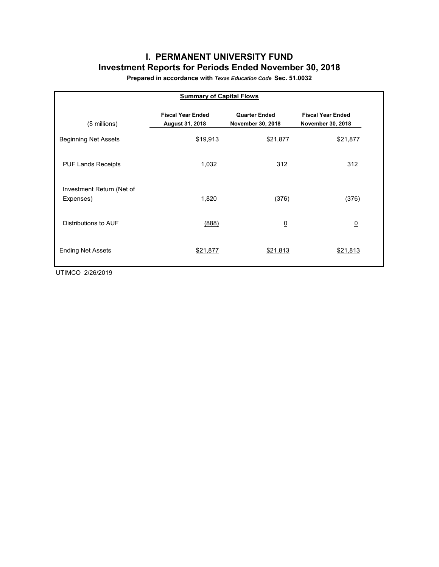# **I. PERMANENT UNIVERSITY FUND Investment Reports for Periods Ended November 30, 2018**

**Prepared in accordance with** *Texas Education Code* **Sec. 51.0032**

| <b>Summary of Capital Flows</b>        |                                                    |                                           |                                               |  |  |  |  |  |  |  |
|----------------------------------------|----------------------------------------------------|-------------------------------------------|-----------------------------------------------|--|--|--|--|--|--|--|
| $($$ millions)                         | <b>Fiscal Year Ended</b><br><b>August 31, 2018</b> | <b>Quarter Ended</b><br>November 30, 2018 | <b>Fiscal Year Ended</b><br>November 30, 2018 |  |  |  |  |  |  |  |
| <b>Beginning Net Assets</b>            | \$19,913                                           | \$21,877                                  | \$21,877                                      |  |  |  |  |  |  |  |
| <b>PUF Lands Receipts</b>              | 1,032                                              | 312                                       | 312                                           |  |  |  |  |  |  |  |
| Investment Return (Net of<br>Expenses) | 1,820                                              | (376)                                     | (376)                                         |  |  |  |  |  |  |  |
| Distributions to AUF                   | (888)                                              | $\overline{0}$                            | $\underline{0}$                               |  |  |  |  |  |  |  |
| <b>Ending Net Assets</b>               | \$21,877                                           | \$21,813                                  | \$21,813                                      |  |  |  |  |  |  |  |

UTIMCO 2/26/2019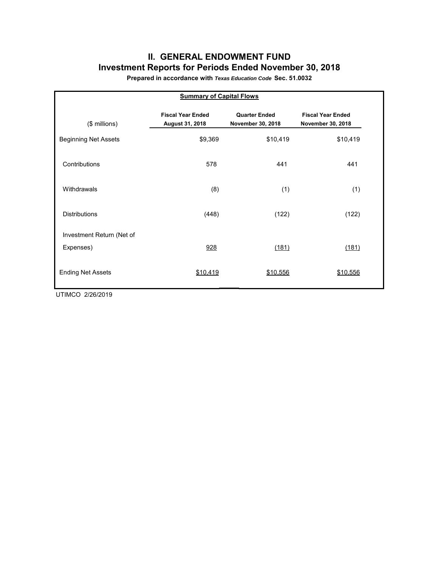## **II. GENERAL ENDOWMENT FUND Investment Reports for Periods Ended November 30, 2018**

**Prepared in accordance with** *Texas Education Code* **Sec. 51.0032**

| <b>Summary of Capital Flows</b> |                                             |                                           |                                               |  |  |  |  |  |  |  |
|---------------------------------|---------------------------------------------|-------------------------------------------|-----------------------------------------------|--|--|--|--|--|--|--|
| (\$ millions)                   | <b>Fiscal Year Ended</b><br>August 31, 2018 | <b>Quarter Ended</b><br>November 30, 2018 | <b>Fiscal Year Ended</b><br>November 30, 2018 |  |  |  |  |  |  |  |
| <b>Beginning Net Assets</b>     | \$9,369                                     | \$10,419                                  | \$10,419                                      |  |  |  |  |  |  |  |
| Contributions                   | 578                                         | 441                                       | 441                                           |  |  |  |  |  |  |  |
| Withdrawals                     | (8)                                         | (1)                                       | (1)                                           |  |  |  |  |  |  |  |
| <b>Distributions</b>            | (448)                                       | (122)                                     | (122)                                         |  |  |  |  |  |  |  |
| Investment Return (Net of       |                                             |                                           |                                               |  |  |  |  |  |  |  |
| Expenses)                       | 928                                         | (181)                                     | (181)                                         |  |  |  |  |  |  |  |
| <b>Ending Net Assets</b>        | \$10,419                                    | \$10,556                                  | \$10,556                                      |  |  |  |  |  |  |  |

UTIMCO 2/26/2019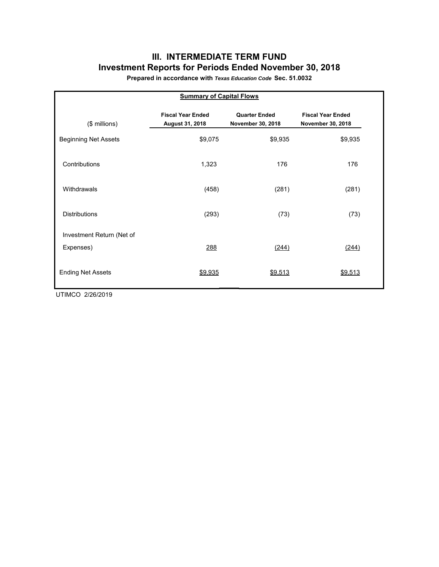# **III. INTERMEDIATE TERM FUND Investment Reports for Periods Ended November 30, 2018**

**Prepared in accordance with** *Texas Education Code* **Sec. 51.0032**

| <b>Summary of Capital Flows</b> |                                             |                                           |                                               |  |  |  |  |  |  |  |
|---------------------------------|---------------------------------------------|-------------------------------------------|-----------------------------------------------|--|--|--|--|--|--|--|
| $($$ millions)                  | <b>Fiscal Year Ended</b><br>August 31, 2018 | <b>Quarter Ended</b><br>November 30, 2018 | <b>Fiscal Year Ended</b><br>November 30, 2018 |  |  |  |  |  |  |  |
| <b>Beginning Net Assets</b>     | \$9,075                                     | \$9,935                                   | \$9,935                                       |  |  |  |  |  |  |  |
| Contributions                   | 1,323                                       | 176                                       | 176                                           |  |  |  |  |  |  |  |
| Withdrawals                     | (458)                                       | (281)                                     | (281)                                         |  |  |  |  |  |  |  |
| <b>Distributions</b>            | (293)                                       | (73)                                      | (73)                                          |  |  |  |  |  |  |  |
| Investment Return (Net of       |                                             |                                           |                                               |  |  |  |  |  |  |  |
| Expenses)                       | 288                                         | (244)                                     | (244)                                         |  |  |  |  |  |  |  |
| <b>Ending Net Assets</b>        | \$9,935                                     | \$9,513                                   | \$9,513                                       |  |  |  |  |  |  |  |

UTIMCO 2/26/2019